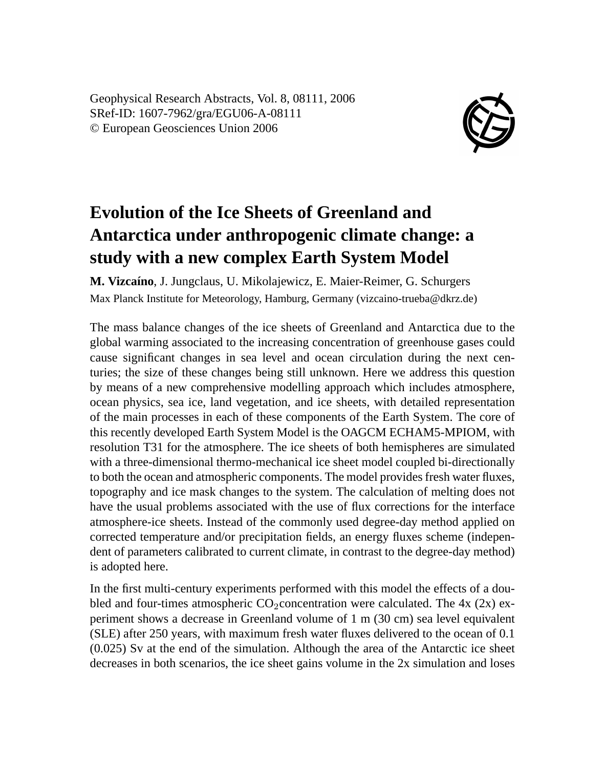Geophysical Research Abstracts, Vol. 8, 08111, 2006 SRef-ID: 1607-7962/gra/EGU06-A-08111 © European Geosciences Union 2006



## **Evolution of the Ice Sheets of Greenland and Antarctica under anthropogenic climate change: a study with a new complex Earth System Model**

**M. Vizcaíno**, J. Jungclaus, U. Mikolajewicz, E. Maier-Reimer, G. Schurgers Max Planck Institute for Meteorology, Hamburg, Germany (vizcaino-trueba@dkrz.de)

The mass balance changes of the ice sheets of Greenland and Antarctica due to the global warming associated to the increasing concentration of greenhouse gases could cause significant changes in sea level and ocean circulation during the next centuries; the size of these changes being still unknown. Here we address this question by means of a new comprehensive modelling approach which includes atmosphere, ocean physics, sea ice, land vegetation, and ice sheets, with detailed representation of the main processes in each of these components of the Earth System. The core of this recently developed Earth System Model is the OAGCM ECHAM5-MPIOM, with resolution T31 for the atmosphere. The ice sheets of both hemispheres are simulated with a three-dimensional thermo-mechanical ice sheet model coupled bi-directionally to both the ocean and atmospheric components. The model provides fresh water fluxes, topography and ice mask changes to the system. The calculation of melting does not have the usual problems associated with the use of flux corrections for the interface atmosphere-ice sheets. Instead of the commonly used degree-day method applied on corrected temperature and/or precipitation fields, an energy fluxes scheme (independent of parameters calibrated to current climate, in contrast to the degree-day method) is adopted here.

In the first multi-century experiments performed with this model the effects of a doubled and four-times atmospheric  $CO_2$ concentration were calculated. The 4x (2x) experiment shows a decrease in Greenland volume of 1 m (30 cm) sea level equivalent (SLE) after 250 years, with maximum fresh water fluxes delivered to the ocean of 0.1 (0.025) Sv at the end of the simulation. Although the area of the Antarctic ice sheet decreases in both scenarios, the ice sheet gains volume in the 2x simulation and loses